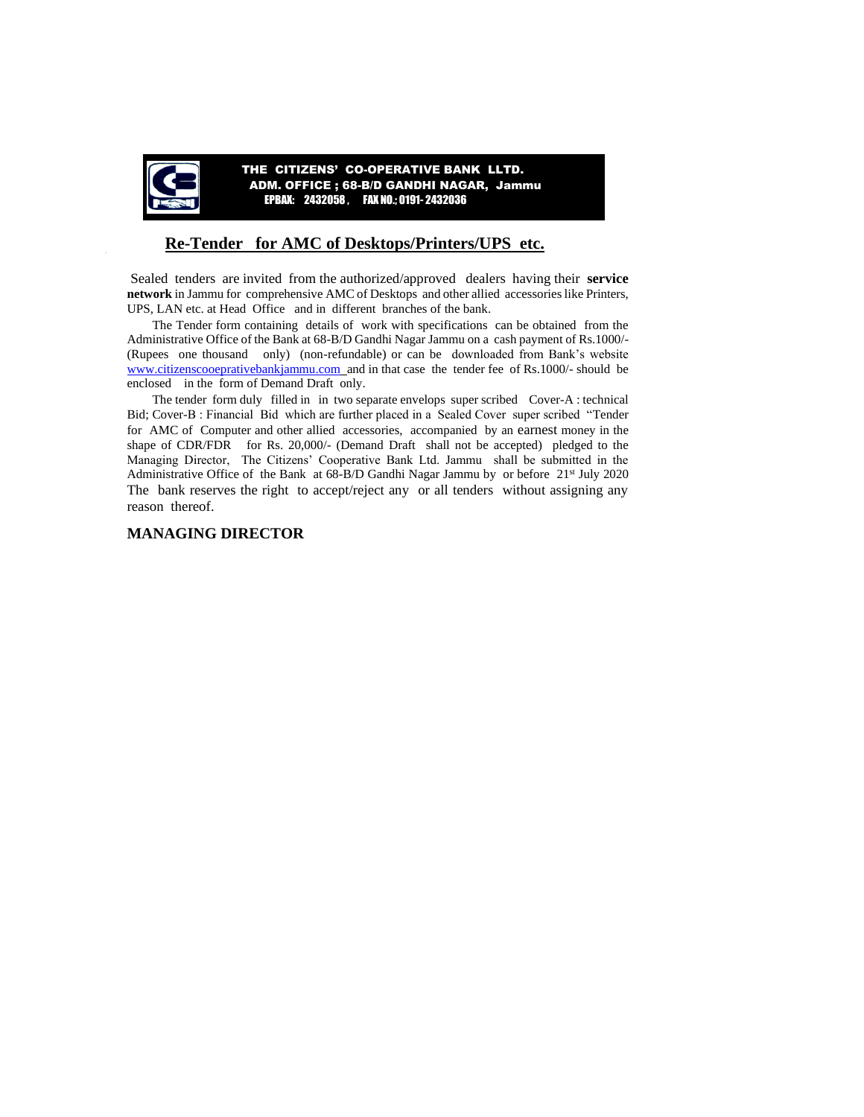

 THE CITIZENS' CO-OPERATIVE BANK LLTD. ADM. OFFICE ; 68-B/D GANDHI NAGAR, Jammu EPBAX: 2432058 , FAX NO.; 0191- 2432036

### **Re-Tender for AMC of Desktops/Printers/UPS etc.**

Sealed tenders are invited from the authorized/approved dealers having their **service network** in Jammu for comprehensive AMC of Desktops and other allied accessories like Printers, UPS, LAN etc. at Head Office and in different branches of the bank.

The Tender form containing details of work with specifications can be obtained from the Administrative Office of the Bank at 68-B/D Gandhi Nagar Jammu on a cash payment of Rs.1000/- (Rupees one thousand only) (non-refundable) or can be downloaded from Bank's website [www.citizenscooeprativebankjammu.com](http://www.citizenscooeprativebankjammu.com/) and in that case the tender fee of Rs.1000/- should be enclosed in the form of Demand Draft only.

The tender form duly filled in in two separate envelops super scribed Cover-A : technical Bid; Cover-B : Financial Bid which are further placed in a Sealed Cover super scribed "Tender for AMC of Computer and other allied accessories, accompanied by an earnest money in the shape of CDR/FDR for Rs. 20,000/- (Demand Draft shall not be accepted) pledged to the Managing Director, The Citizens' Cooperative Bank Ltd. Jammu shall be submitted in the Administrative Office of the Bank at 68-B/D Gandhi Nagar Jammu by or before 21<sup>st</sup> July 2020 The bank reserves the right to accept/reject any or all tenders without assigning any reason thereof.

#### **MANAGING DIRECTOR**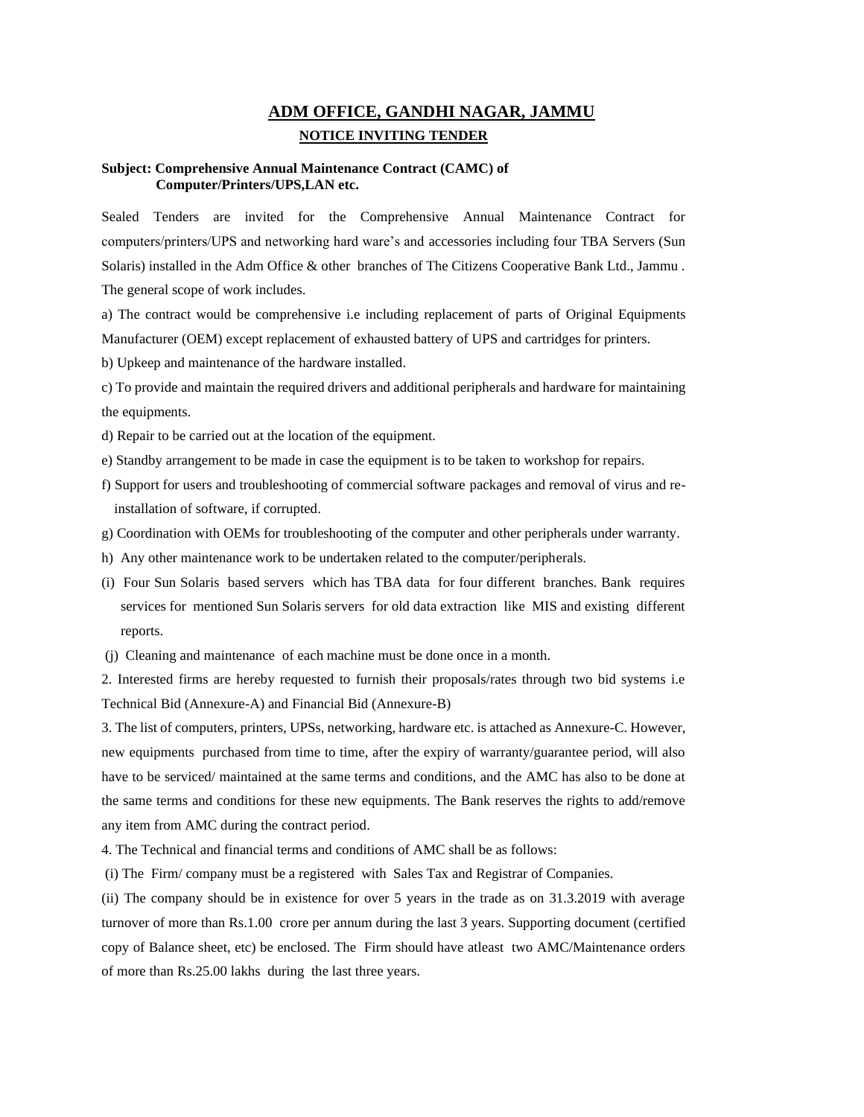# **ADM OFFICE, GANDHI NAGAR, JAMMU NOTICE INVITING TENDER**

#### **Subject: Comprehensive Annual Maintenance Contract (CAMC) of Computer/Printers/UPS,LAN etc.**

Sealed Tenders are invited for the Comprehensive Annual Maintenance Contract for computers/printers/UPS and networking hard ware's and accessories including four TBA Servers (Sun Solaris) installed in the Adm Office & other branches of The Citizens Cooperative Bank Ltd., Jammu . The general scope of work includes.

a) The contract would be comprehensive i.e including replacement of parts of Original Equipments Manufacturer (OEM) except replacement of exhausted battery of UPS and cartridges for printers.

b) Upkeep and maintenance of the hardware installed.

c) To provide and maintain the required drivers and additional peripherals and hardware for maintaining the equipments.

d) Repair to be carried out at the location of the equipment.

e) Standby arrangement to be made in case the equipment is to be taken to workshop for repairs.

- f) Support for users and troubleshooting of commercial software packages and removal of virus and reinstallation of software, if corrupted.
- g) Coordination with OEMs for troubleshooting of the computer and other peripherals under warranty.
- h) Any other maintenance work to be undertaken related to the computer/peripherals.
- (i) Four Sun Solaris based servers which has TBA data for four different branches. Bank requires services for mentioned Sun Solaris servers for old data extraction like MIS and existing different reports.
- (j) Cleaning and maintenance of each machine must be done once in a month.

2. Interested firms are hereby requested to furnish their proposals/rates through two bid systems i.e Technical Bid (Annexure-A) and Financial Bid (Annexure-B)

3. The list of computers, printers, UPSs, networking, hardware etc. is attached as Annexure-C. However, new equipments purchased from time to time, after the expiry of warranty/guarantee period, will also have to be serviced/ maintained at the same terms and conditions, and the AMC has also to be done at the same terms and conditions for these new equipments. The Bank reserves the rights to add/remove any item from AMC during the contract period.

4. The Technical and financial terms and conditions of AMC shall be as follows:

(i) The Firm/ company must be a registered with Sales Tax and Registrar of Companies.

(ii) The company should be in existence for over 5 years in the trade as on 31.3.2019 with average turnover of more than Rs.1.00 crore per annum during the last 3 years. Supporting document (certified copy of Balance sheet, etc) be enclosed. The Firm should have atleast two AMC/Maintenance orders of more than Rs.25.00 lakhs during the last three years.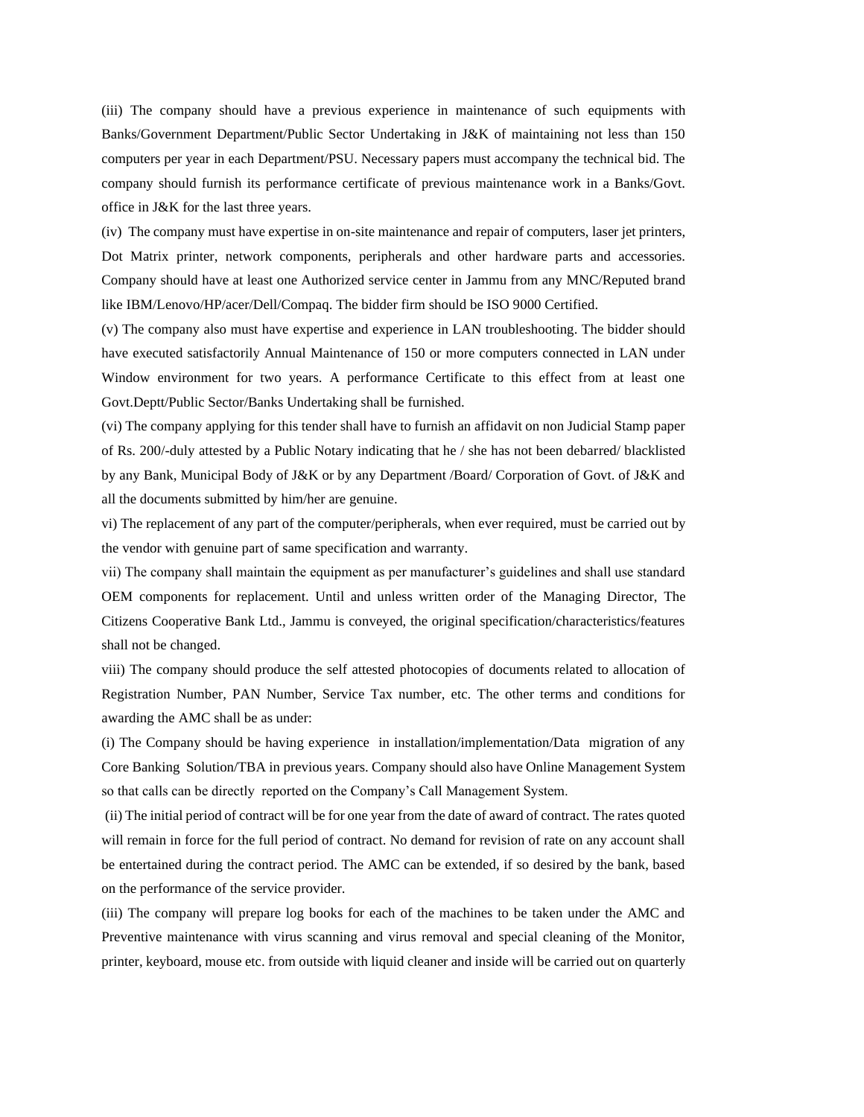(iii) The company should have a previous experience in maintenance of such equipments with Banks/Government Department/Public Sector Undertaking in J&K of maintaining not less than 150 computers per year in each Department/PSU. Necessary papers must accompany the technical bid. The company should furnish its performance certificate of previous maintenance work in a Banks/Govt. office in J&K for the last three years.

(iv) The company must have expertise in on-site maintenance and repair of computers, laser jet printers, Dot Matrix printer, network components, peripherals and other hardware parts and accessories. Company should have at least one Authorized service center in Jammu from any MNC/Reputed brand like IBM/Lenovo/HP/acer/Dell/Compaq. The bidder firm should be ISO 9000 Certified.

(v) The company also must have expertise and experience in LAN troubleshooting. The bidder should have executed satisfactorily Annual Maintenance of 150 or more computers connected in LAN under Window environment for two years. A performance Certificate to this effect from at least one Govt.Deptt/Public Sector/Banks Undertaking shall be furnished.

(vi) The company applying for this tender shall have to furnish an affidavit on non Judicial Stamp paper of Rs. 200/-duly attested by a Public Notary indicating that he / she has not been debarred/ blacklisted by any Bank, Municipal Body of J&K or by any Department /Board/ Corporation of Govt. of J&K and all the documents submitted by him/her are genuine.

vi) The replacement of any part of the computer/peripherals, when ever required, must be carried out by the vendor with genuine part of same specification and warranty.

vii) The company shall maintain the equipment as per manufacturer's guidelines and shall use standard OEM components for replacement. Until and unless written order of the Managing Director, The Citizens Cooperative Bank Ltd., Jammu is conveyed, the original specification/characteristics/features shall not be changed.

viii) The company should produce the self attested photocopies of documents related to allocation of Registration Number, PAN Number, Service Tax number, etc. The other terms and conditions for awarding the AMC shall be as under:

(i) The Company should be having experience in installation/implementation/Data migration of any Core Banking Solution/TBA in previous years. Company should also have Online Management System so that calls can be directly reported on the Company's Call Management System.

(ii) The initial period of contract will be for one year from the date of award of contract. The rates quoted will remain in force for the full period of contract. No demand for revision of rate on any account shall be entertained during the contract period. The AMC can be extended, if so desired by the bank, based on the performance of the service provider.

(iii) The company will prepare log books for each of the machines to be taken under the AMC and Preventive maintenance with virus scanning and virus removal and special cleaning of the Monitor, printer, keyboard, mouse etc. from outside with liquid cleaner and inside will be carried out on quarterly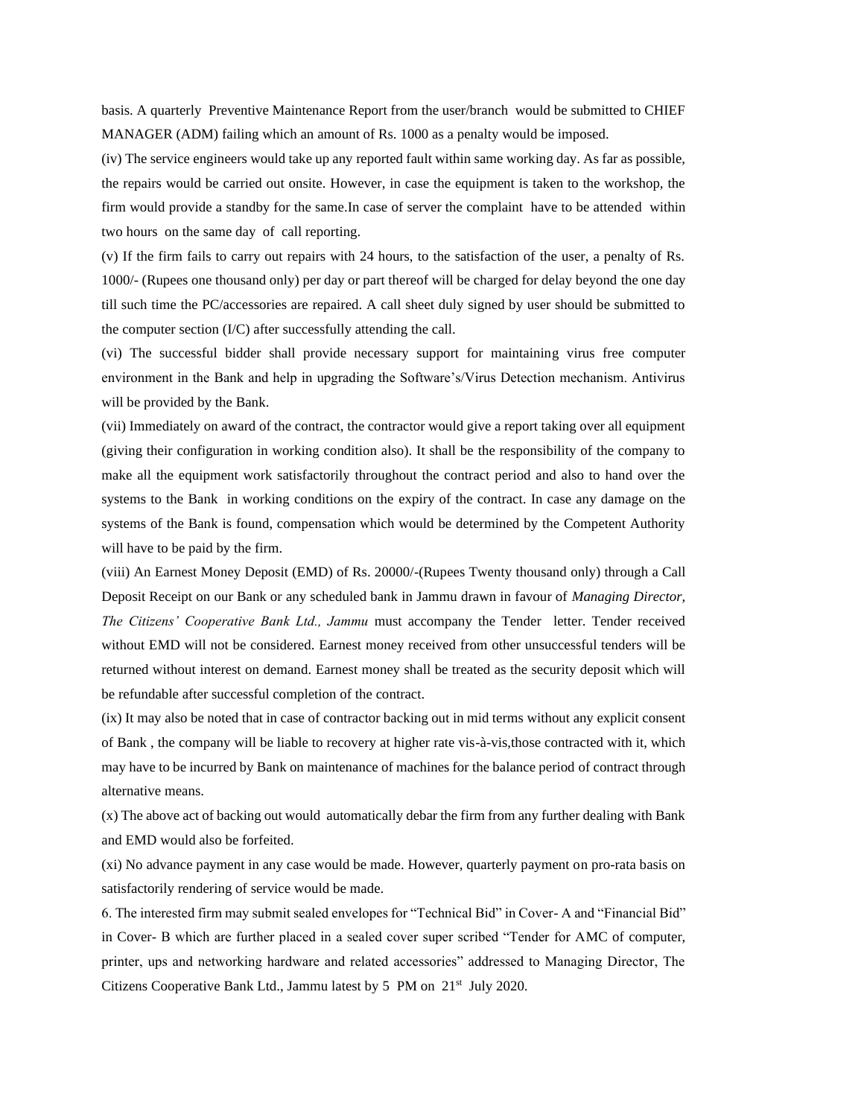basis. A quarterly Preventive Maintenance Report from the user/branch would be submitted to CHIEF MANAGER (ADM) failing which an amount of Rs. 1000 as a penalty would be imposed.

(iv) The service engineers would take up any reported fault within same working day. As far as possible, the repairs would be carried out onsite. However, in case the equipment is taken to the workshop, the firm would provide a standby for the same.In case of server the complaint have to be attended within two hours on the same day of call reporting.

(v) If the firm fails to carry out repairs with 24 hours, to the satisfaction of the user, a penalty of Rs. 1000/- (Rupees one thousand only) per day or part thereof will be charged for delay beyond the one day till such time the PC/accessories are repaired. A call sheet duly signed by user should be submitted to the computer section (I/C) after successfully attending the call.

(vi) The successful bidder shall provide necessary support for maintaining virus free computer environment in the Bank and help in upgrading the Software's/Virus Detection mechanism. Antivirus will be provided by the Bank.

(vii) Immediately on award of the contract, the contractor would give a report taking over all equipment (giving their configuration in working condition also). It shall be the responsibility of the company to make all the equipment work satisfactorily throughout the contract period and also to hand over the systems to the Bank in working conditions on the expiry of the contract. In case any damage on the systems of the Bank is found, compensation which would be determined by the Competent Authority will have to be paid by the firm.

(viii) An Earnest Money Deposit (EMD) of Rs. 20000/-(Rupees Twenty thousand only) through a Call Deposit Receipt on our Bank or any scheduled bank in Jammu drawn in favour of *Managing Director, The Citizens' Cooperative Bank Ltd., Jammu* must accompany the Tender letter. Tender received without EMD will not be considered. Earnest money received from other unsuccessful tenders will be returned without interest on demand. Earnest money shall be treated as the security deposit which will be refundable after successful completion of the contract.

(ix) It may also be noted that in case of contractor backing out in mid terms without any explicit consent of Bank , the company will be liable to recovery at higher rate vis-à-vis,those contracted with it, which may have to be incurred by Bank on maintenance of machines for the balance period of contract through alternative means.

(x) The above act of backing out would automatically debar the firm from any further dealing with Bank and EMD would also be forfeited.

(xi) No advance payment in any case would be made. However, quarterly payment on pro-rata basis on satisfactorily rendering of service would be made.

6. The interested firm may submit sealed envelopes for "Technical Bid" in Cover- A and "Financial Bid" in Cover- B which are further placed in a sealed cover super scribed "Tender for AMC of computer, printer, ups and networking hardware and related accessories" addressed to Managing Director, The Citizens Cooperative Bank Ltd., Jammu latest by 5 PM on 21<sup>st</sup> July 2020.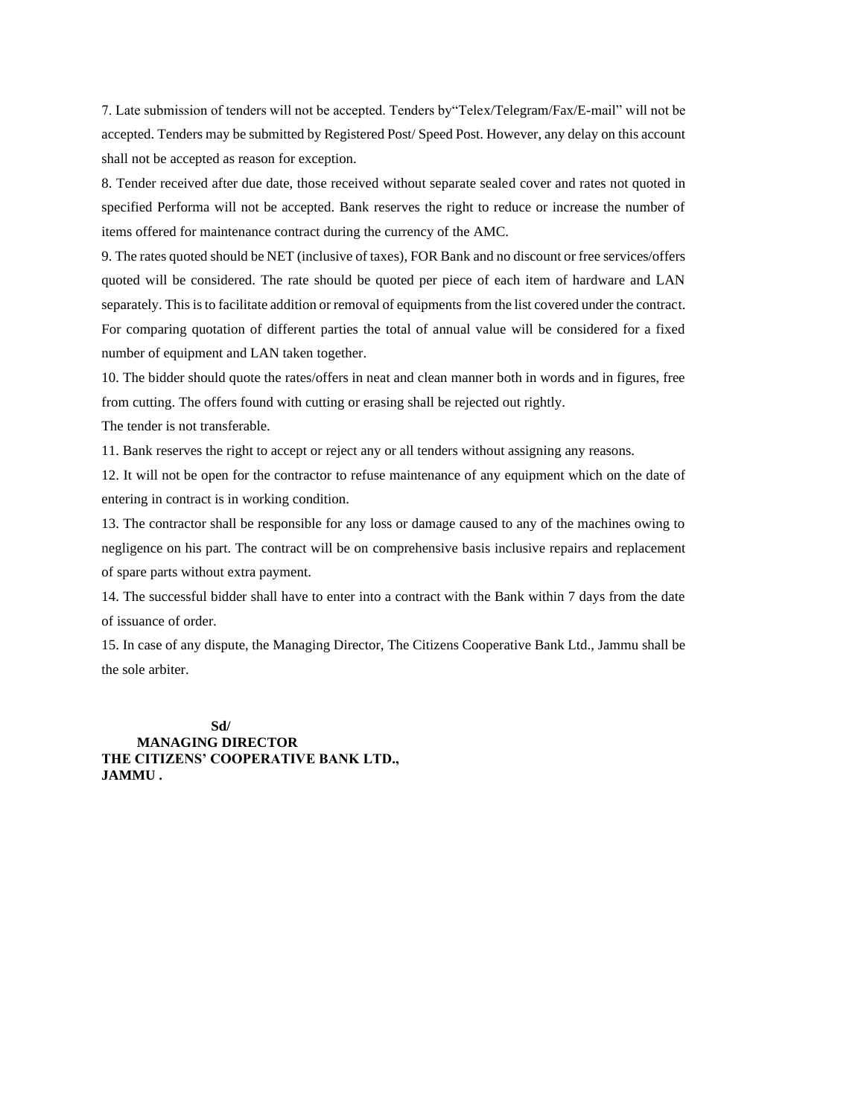7. Late submission of tenders will not be accepted. Tenders by"Telex/Telegram/Fax/E-mail" will not be accepted. Tenders may be submitted by Registered Post/ Speed Post. However, any delay on this account shall not be accepted as reason for exception.

8. Tender received after due date, those received without separate sealed cover and rates not quoted in specified Performa will not be accepted. Bank reserves the right to reduce or increase the number of items offered for maintenance contract during the currency of the AMC.

9. The rates quoted should be NET (inclusive of taxes), FOR Bank and no discount or free services/offers quoted will be considered. The rate should be quoted per piece of each item of hardware and LAN separately. This is to facilitate addition or removal of equipments from the list covered under the contract. For comparing quotation of different parties the total of annual value will be considered for a fixed number of equipment and LAN taken together.

10. The bidder should quote the rates/offers in neat and clean manner both in words and in figures, free from cutting. The offers found with cutting or erasing shall be rejected out rightly.

The tender is not transferable.

11. Bank reserves the right to accept or reject any or all tenders without assigning any reasons.

12. It will not be open for the contractor to refuse maintenance of any equipment which on the date of entering in contract is in working condition.

13. The contractor shall be responsible for any loss or damage caused to any of the machines owing to negligence on his part. The contract will be on comprehensive basis inclusive repairs and replacement of spare parts without extra payment.

14. The successful bidder shall have to enter into a contract with the Bank within 7 days from the date of issuance of order.

15. In case of any dispute, the Managing Director, The Citizens Cooperative Bank Ltd., Jammu shall be the sole arbiter.

 **Sd/ MANAGING DIRECTOR THE CITIZENS' COOPERATIVE BANK LTD., JAMMU .**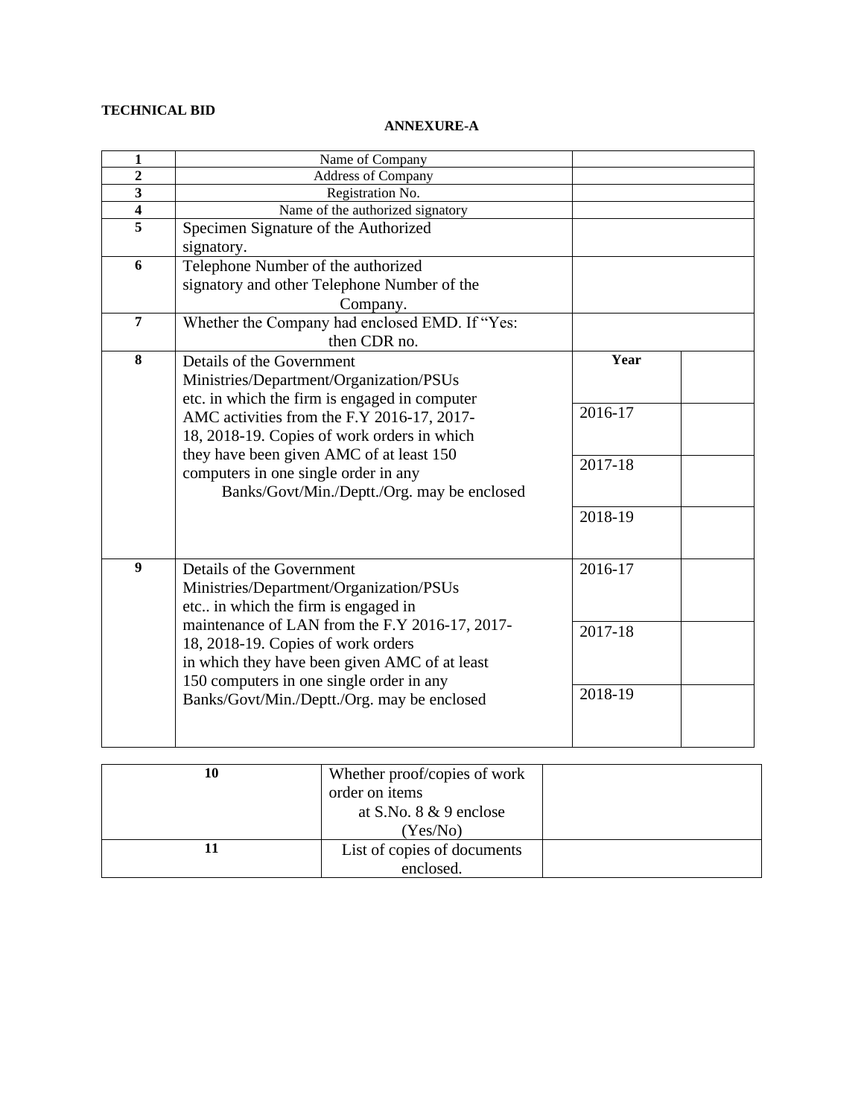## **TECHNICAL BID**

### **ANNEXURE-A**

| 1                       | Name of Company                                |         |  |
|-------------------------|------------------------------------------------|---------|--|
| $\overline{2}$          | <b>Address of Company</b>                      |         |  |
| 3                       | Registration No.                               |         |  |
| $\overline{\mathbf{4}}$ | Name of the authorized signatory               |         |  |
| 5                       | Specimen Signature of the Authorized           |         |  |
|                         | signatory.                                     |         |  |
| 6                       | Telephone Number of the authorized             |         |  |
|                         | signatory and other Telephone Number of the    |         |  |
|                         | Company.                                       |         |  |
| $\overline{7}$          | Whether the Company had enclosed EMD. If "Yes: |         |  |
|                         | then CDR no.                                   |         |  |
| 8                       | Details of the Government                      | Year    |  |
|                         | Ministries/Department/Organization/PSUs        |         |  |
|                         | etc. in which the firm is engaged in computer  |         |  |
|                         | AMC activities from the F.Y 2016-17, 2017-     | 2016-17 |  |
|                         | 18, 2018-19. Copies of work orders in which    |         |  |
|                         | they have been given AMC of at least 150       |         |  |
|                         | computers in one single order in any           | 2017-18 |  |
|                         | Banks/Govt/Min./Deptt./Org. may be enclosed    |         |  |
|                         |                                                | 2018-19 |  |
|                         |                                                |         |  |
|                         |                                                |         |  |
| $\overline{9}$          | Details of the Government                      | 2016-17 |  |
|                         | Ministries/Department/Organization/PSUs        |         |  |
|                         | etc in which the firm is engaged in            |         |  |
|                         | maintenance of LAN from the F.Y 2016-17, 2017- | 2017-18 |  |
|                         | 18, 2018-19. Copies of work orders             |         |  |
|                         | in which they have been given AMC of at least  |         |  |
|                         | 150 computers in one single order in any       |         |  |
|                         | Banks/Govt/Min./Deptt./Org. may be enclosed    | 2018-19 |  |
|                         |                                                |         |  |
|                         |                                                |         |  |

| 10 | Whether proof/copies of work |  |
|----|------------------------------|--|
|    | order on items               |  |
|    | at S.No. $8 \& 9$ enclose    |  |
|    | (Yes/No)                     |  |
|    | List of copies of documents  |  |
|    | enclosed.                    |  |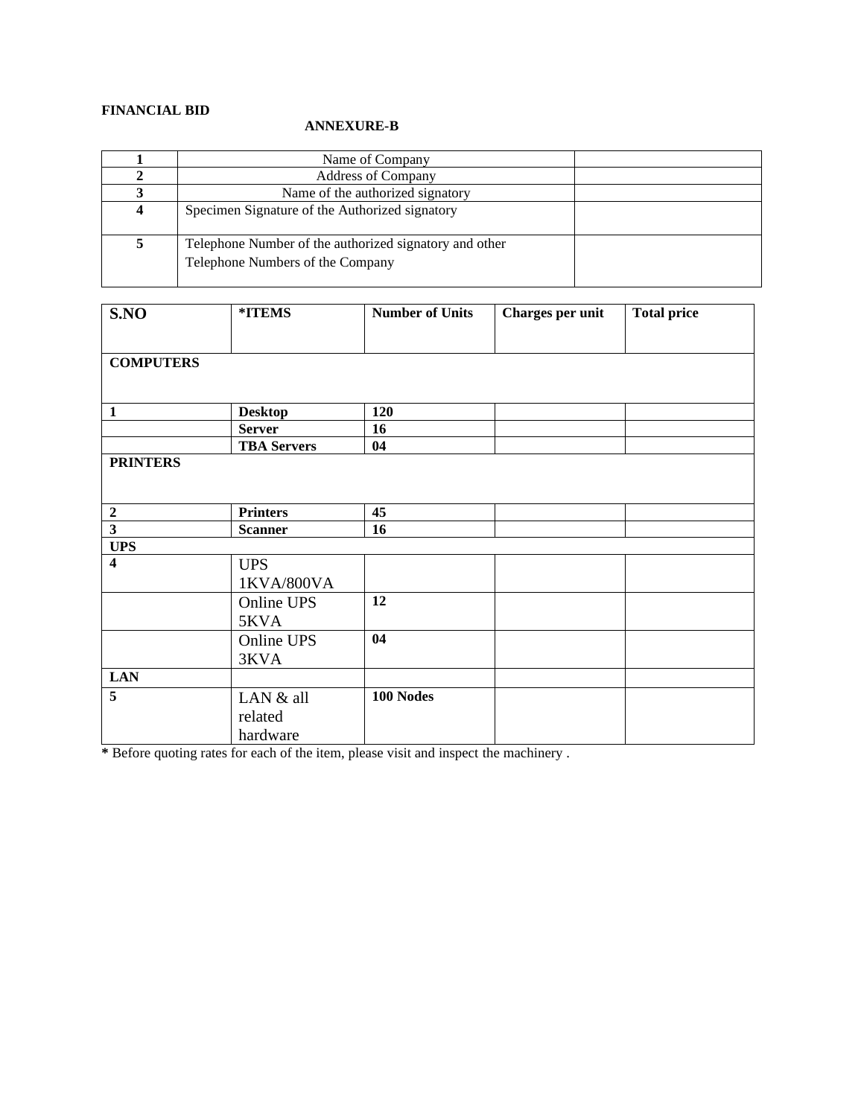## **FINANCIAL BID**

### **ANNEXURE-B**

| Name of Company                                                                            |
|--------------------------------------------------------------------------------------------|
| <b>Address of Company</b>                                                                  |
| Name of the authorized signatory                                                           |
| Specimen Signature of the Authorized signatory                                             |
| Telephone Number of the authorized signatory and other<br>Telephone Numbers of the Company |

| S.NO                    | *ITEMS             | <b>Number of Units</b> | <b>Charges per unit</b> | <b>Total price</b> |
|-------------------------|--------------------|------------------------|-------------------------|--------------------|
|                         |                    |                        |                         |                    |
| <b>COMPUTERS</b>        |                    |                        |                         |                    |
|                         |                    |                        |                         |                    |
|                         |                    |                        |                         |                    |
| $\mathbf{1}$            | <b>Desktop</b>     | 120                    |                         |                    |
|                         | <b>Server</b>      | 16                     |                         |                    |
|                         | <b>TBA Servers</b> | 04                     |                         |                    |
| <b>PRINTERS</b>         |                    |                        |                         |                    |
|                         |                    |                        |                         |                    |
|                         |                    |                        |                         |                    |
| $\boldsymbol{2}$        | <b>Printers</b>    | 45                     |                         |                    |
| $\overline{\mathbf{3}}$ | <b>Scanner</b>     | 16                     |                         |                    |
| <b>UPS</b>              |                    |                        |                         |                    |
| $\overline{\mathbf{4}}$ | <b>UPS</b>         |                        |                         |                    |
|                         | 1KVA/800VA         |                        |                         |                    |
|                         | Online UPS         | 12                     |                         |                    |
|                         | 5KVA               |                        |                         |                    |
|                         | Online UPS         | 04                     |                         |                    |
|                         | 3KVA               |                        |                         |                    |
| <b>LAN</b>              |                    |                        |                         |                    |
| 5                       | LAN & all          | 100 Nodes              |                         |                    |
|                         | related            |                        |                         |                    |
|                         | hardware           |                        |                         |                    |
|                         |                    |                        |                         |                    |

**\*** Before quoting rates for each of the item, please visit and inspect the machinery .